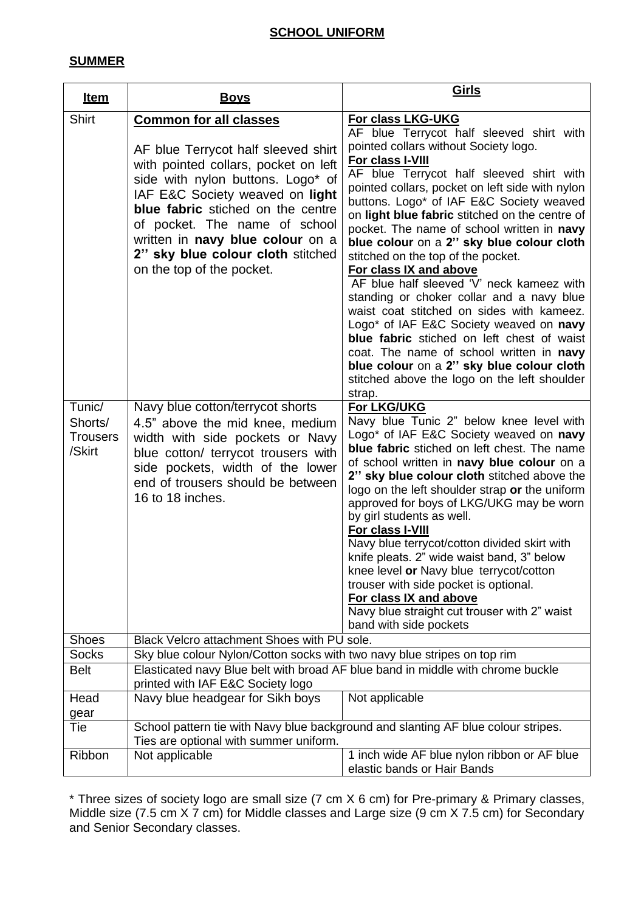# **SCHOOL UNIFORM**

#### **SUMMER**

| <u>Item</u>                                    | <u>Boys</u>                                                                                                                                                                                                                                                                                                                                                      | <u>Girls</u>                                                                                                                                                                                                                                                                                                                                                                                                                                                                                                                                                                                                                                                                                                                                                                                                                                                          |  |
|------------------------------------------------|------------------------------------------------------------------------------------------------------------------------------------------------------------------------------------------------------------------------------------------------------------------------------------------------------------------------------------------------------------------|-----------------------------------------------------------------------------------------------------------------------------------------------------------------------------------------------------------------------------------------------------------------------------------------------------------------------------------------------------------------------------------------------------------------------------------------------------------------------------------------------------------------------------------------------------------------------------------------------------------------------------------------------------------------------------------------------------------------------------------------------------------------------------------------------------------------------------------------------------------------------|--|
| <b>Shirt</b>                                   | <b>Common for all classes</b><br>AF blue Terrycot half sleeved shirt<br>with pointed collars, pocket on left<br>side with nylon buttons. Logo* of<br>IAF E&C Society weaved on light<br>blue fabric stiched on the centre<br>of pocket. The name of school<br>written in navy blue colour on a<br>2" sky blue colour cloth stitched<br>on the top of the pocket. | For class LKG-UKG<br>AF blue Terrycot half sleeved shirt with<br>pointed collars without Society logo.<br>For class I-VIII<br>AF blue Terrycot half sleeved shirt with<br>pointed collars, pocket on left side with nylon<br>buttons. Logo* of IAF E&C Society weaved<br>on light blue fabric stitched on the centre of<br>pocket. The name of school written in navy<br>blue colour on a 2" sky blue colour cloth<br>stitched on the top of the pocket.<br>For class IX and above<br>AF blue half sleeved 'V' neck kameez with<br>standing or choker collar and a navy blue<br>waist coat stitched on sides with kameez.<br>Logo* of IAF E&C Society weaved on navy<br>blue fabric stiched on left chest of waist<br>coat. The name of school written in navy<br>blue colour on a 2" sky blue colour cloth<br>stitched above the logo on the left shoulder<br>strap. |  |
| Tunic/<br>Shorts/<br><b>Trousers</b><br>/Skirt | Navy blue cotton/terrycot shorts<br>4.5" above the mid knee, medium<br>width with side pockets or Navy<br>blue cotton/ terrycot trousers with<br>side pockets, width of the lower<br>end of trousers should be between<br>16 to 18 inches.                                                                                                                       | For LKG/UKG<br>Navy blue Tunic 2" below knee level with<br>Logo* of IAF E&C Society weaved on navy<br>blue fabric stiched on left chest. The name<br>of school written in navy blue colour on a<br>2" sky blue colour cloth stitched above the<br>logo on the left shoulder strap or the uniform<br>approved for boys of LKG/UKG may be worn<br>by girl students as well.<br>For class I-VIII<br>Navy blue terrycot/cotton divided skirt with<br>knife pleats. 2" wide waist band, 3" below<br>knee level or Navy blue terrycot/cotton<br>trouser with side pocket is optional.<br>For class IX and above<br>Navy blue straight cut trouser with 2" waist<br>band with side pockets                                                                                                                                                                                   |  |
| <b>Shoes</b>                                   | Black Velcro attachment Shoes with PU sole.                                                                                                                                                                                                                                                                                                                      |                                                                                                                                                                                                                                                                                                                                                                                                                                                                                                                                                                                                                                                                                                                                                                                                                                                                       |  |
| <b>Socks</b>                                   | Sky blue colour Nylon/Cotton socks with two navy blue stripes on top rim                                                                                                                                                                                                                                                                                         |                                                                                                                                                                                                                                                                                                                                                                                                                                                                                                                                                                                                                                                                                                                                                                                                                                                                       |  |
| <b>Belt</b>                                    | Elasticated navy Blue belt with broad AF blue band in middle with chrome buckle<br>printed with IAF E&C Society logo                                                                                                                                                                                                                                             |                                                                                                                                                                                                                                                                                                                                                                                                                                                                                                                                                                                                                                                                                                                                                                                                                                                                       |  |
| Head<br>gear                                   | Navy blue headgear for Sikh boys                                                                                                                                                                                                                                                                                                                                 | Not applicable                                                                                                                                                                                                                                                                                                                                                                                                                                                                                                                                                                                                                                                                                                                                                                                                                                                        |  |
| Tie                                            | School pattern tie with Navy blue background and slanting AF blue colour stripes.<br>Ties are optional with summer uniform.                                                                                                                                                                                                                                      |                                                                                                                                                                                                                                                                                                                                                                                                                                                                                                                                                                                                                                                                                                                                                                                                                                                                       |  |
| Ribbon                                         | Not applicable                                                                                                                                                                                                                                                                                                                                                   | 1 inch wide AF blue nylon ribbon or AF blue<br>elastic bands or Hair Bands                                                                                                                                                                                                                                                                                                                                                                                                                                                                                                                                                                                                                                                                                                                                                                                            |  |

\* Three sizes of society logo are small size (7 cm X 6 cm) for Pre-primary & Primary classes, Middle size (7.5 cm X 7 cm) for Middle classes and Large size (9 cm X 7.5 cm) for Secondary and Senior Secondary classes.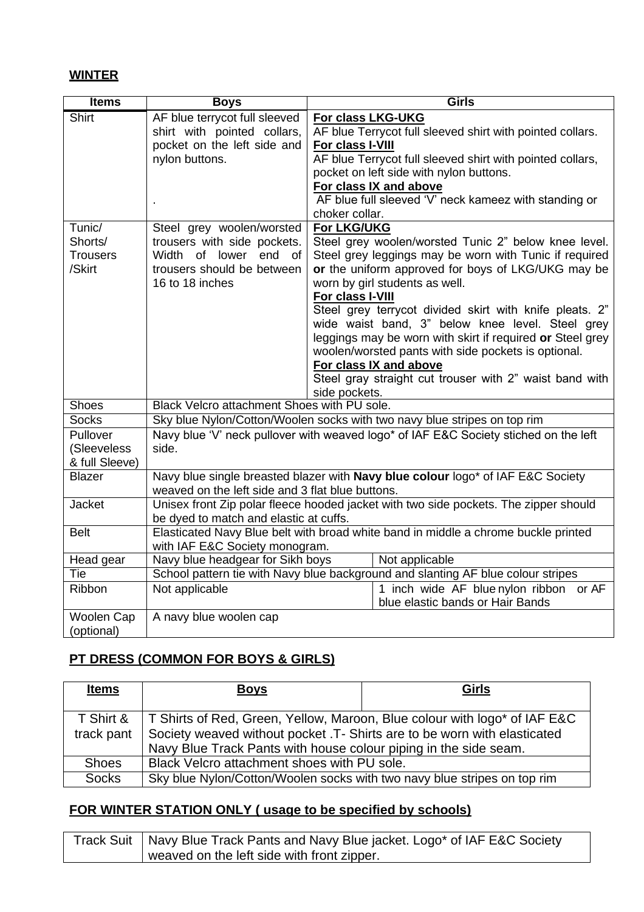#### **WINTER**

| <b>Items</b>                                   | <b>Boys</b>                                                                                                                           |                                                         | Girls                                                                                                                                                                                                                                                                                                                                                                                                                                                                                                                          |
|------------------------------------------------|---------------------------------------------------------------------------------------------------------------------------------------|---------------------------------------------------------|--------------------------------------------------------------------------------------------------------------------------------------------------------------------------------------------------------------------------------------------------------------------------------------------------------------------------------------------------------------------------------------------------------------------------------------------------------------------------------------------------------------------------------|
| <b>Shirt</b>                                   | AF blue terrycot full sleeved<br>shirt with pointed collars,<br>pocket on the left side and<br>nylon buttons.                         | For class LKG-UKG<br>For class I-VIII<br>choker collar. | AF blue Terrycot full sleeved shirt with pointed collars.<br>AF blue Terrycot full sleeved shirt with pointed collars,<br>pocket on left side with nylon buttons.<br>For class IX and above<br>AF blue full sleeved 'V' neck kameez with standing or                                                                                                                                                                                                                                                                           |
| Tunic/<br>Shorts/<br><b>Trousers</b><br>/Skirt | Steel grey woolen/worsted<br>trousers with side pockets.<br>Width of lower end<br>of<br>trousers should be between<br>16 to 18 inches | For LKG/UKG<br>For class I-VIII<br>side pockets.        | Steel grey woolen/worsted Tunic 2" below knee level.<br>Steel grey leggings may be worn with Tunic if required<br>or the uniform approved for boys of LKG/UKG may be<br>worn by girl students as well.<br>Steel grey terrycot divided skirt with knife pleats. 2"<br>wide waist band, 3" below knee level. Steel grey<br>leggings may be worn with skirt if required or Steel grey<br>woolen/worsted pants with side pockets is optional.<br>For class IX and above<br>Steel gray straight cut trouser with 2" waist band with |
| <b>Shoes</b>                                   | Black Velcro attachment Shoes with PU sole.                                                                                           |                                                         |                                                                                                                                                                                                                                                                                                                                                                                                                                                                                                                                |
| <b>Socks</b>                                   | Sky blue Nylon/Cotton/Woolen socks with two navy blue stripes on top rim                                                              |                                                         |                                                                                                                                                                                                                                                                                                                                                                                                                                                                                                                                |
| Pullover<br>(Sleeveless<br>& full Sleeve)      | Navy blue 'V' neck pullover with weaved logo* of IAF E&C Society stiched on the left<br>side.                                         |                                                         |                                                                                                                                                                                                                                                                                                                                                                                                                                                                                                                                |
| <b>Blazer</b>                                  | Navy blue single breasted blazer with Navy blue colour logo* of IAF E&C Society<br>weaved on the left side and 3 flat blue buttons.   |                                                         |                                                                                                                                                                                                                                                                                                                                                                                                                                                                                                                                |
| <b>Jacket</b>                                  | Unisex front Zip polar fleece hooded jacket with two side pockets. The zipper should<br>be dyed to match and elastic at cuffs.        |                                                         |                                                                                                                                                                                                                                                                                                                                                                                                                                                                                                                                |
| <b>Belt</b>                                    | Elasticated Navy Blue belt with broad white band in middle a chrome buckle printed<br>with IAF E&C Society monogram.                  |                                                         |                                                                                                                                                                                                                                                                                                                                                                                                                                                                                                                                |
| Head gear                                      | Navy blue headgear for Sikh boys                                                                                                      |                                                         | Not applicable                                                                                                                                                                                                                                                                                                                                                                                                                                                                                                                 |
| Tie                                            |                                                                                                                                       |                                                         | School pattern tie with Navy blue background and slanting AF blue colour stripes                                                                                                                                                                                                                                                                                                                                                                                                                                               |
| Ribbon                                         | Not applicable                                                                                                                        |                                                         | 1 inch wide AF blue nylon ribbon or AF<br>blue elastic bands or Hair Bands                                                                                                                                                                                                                                                                                                                                                                                                                                                     |
| Woolen Cap<br>(optional)                       | A navy blue woolen cap                                                                                                                |                                                         |                                                                                                                                                                                                                                                                                                                                                                                                                                                                                                                                |

# **PT DRESS (COMMON FOR BOYS & GIRLS)**

| <u>Items</u>            | <b>Boys</b>                                                                                                                                                                                                               | <b>Girls</b> |  |
|-------------------------|---------------------------------------------------------------------------------------------------------------------------------------------------------------------------------------------------------------------------|--------------|--|
| T Shirt &<br>track pant | T Shirts of Red, Green, Yellow, Maroon, Blue colour with logo* of IAF E&C<br>Society weaved without pocket .T- Shirts are to be worn with elasticated<br>Navy Blue Track Pants with house colour piping in the side seam. |              |  |
| <b>Shoes</b>            | Black Velcro attachment shoes with PU sole.                                                                                                                                                                               |              |  |
| <b>Socks</b>            | Sky blue Nylon/Cotton/Woolen socks with two navy blue stripes on top rim                                                                                                                                                  |              |  |

# **FOR WINTER STATION ONLY ( usage to be specified by schools)**

| Track Suit   Navy Blue Track Pants and Navy Blue jacket. Logo* of IAF E&C Society |  |
|-----------------------------------------------------------------------------------|--|
| weaved on the left side with front zipper.                                        |  |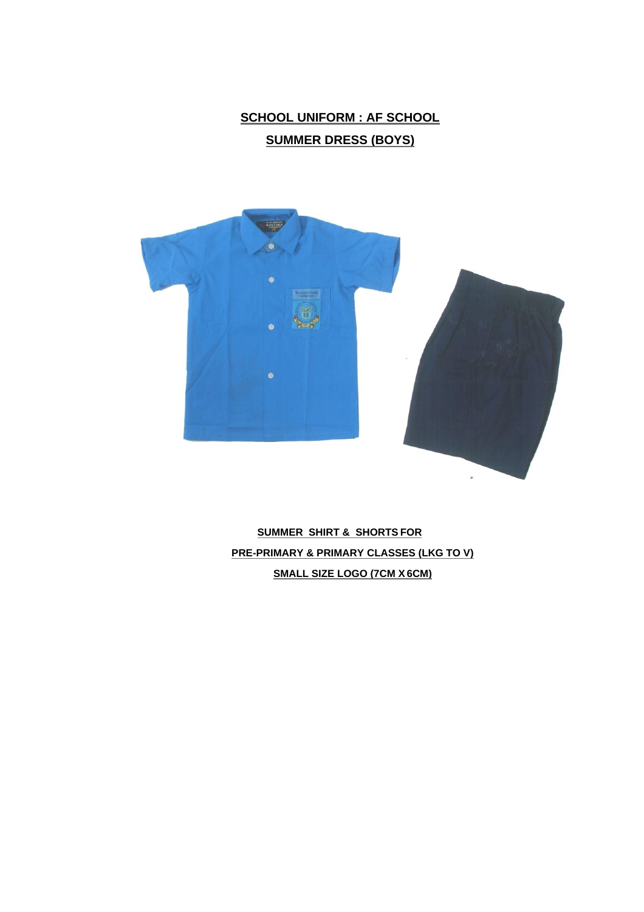# **SCHOOL UNIFORM : AF SCHOOL SUMMER DRESS (BOYS)**



**SUMMER SHIRT & SHORTS FOR PRE-PRIMARY & PRIMARY CLASSES (LKG TO V) SMALL SIZE LOGO (7CM X6CM)**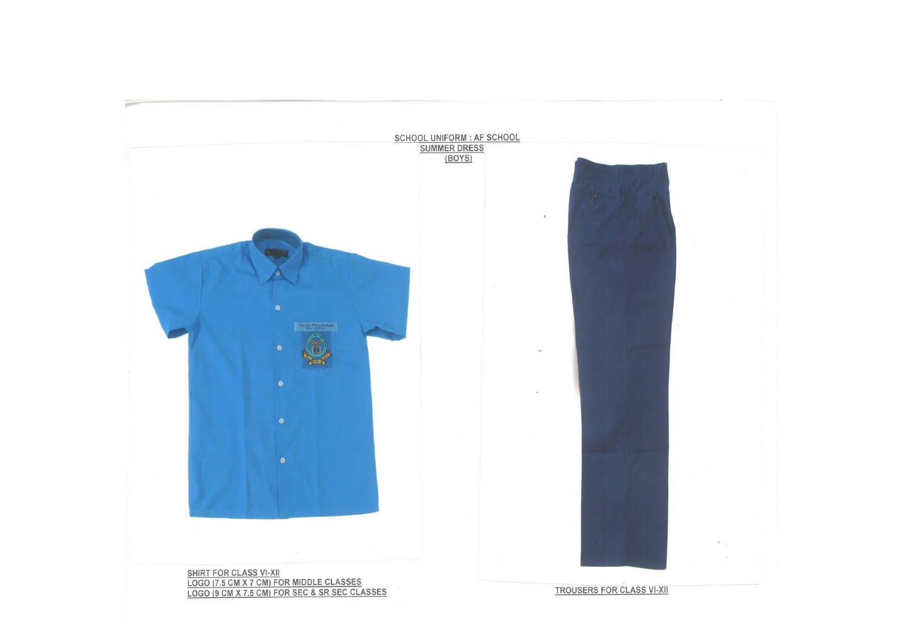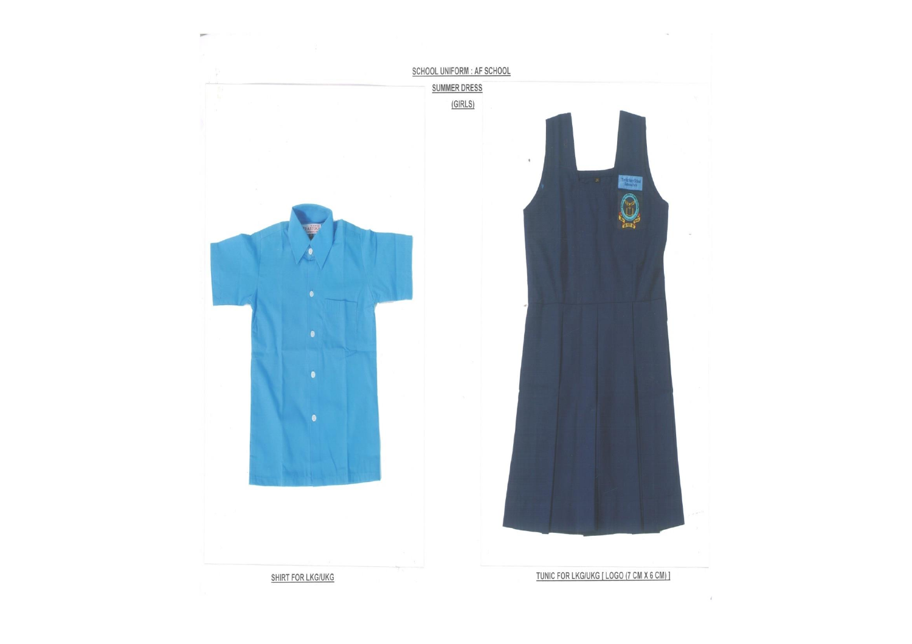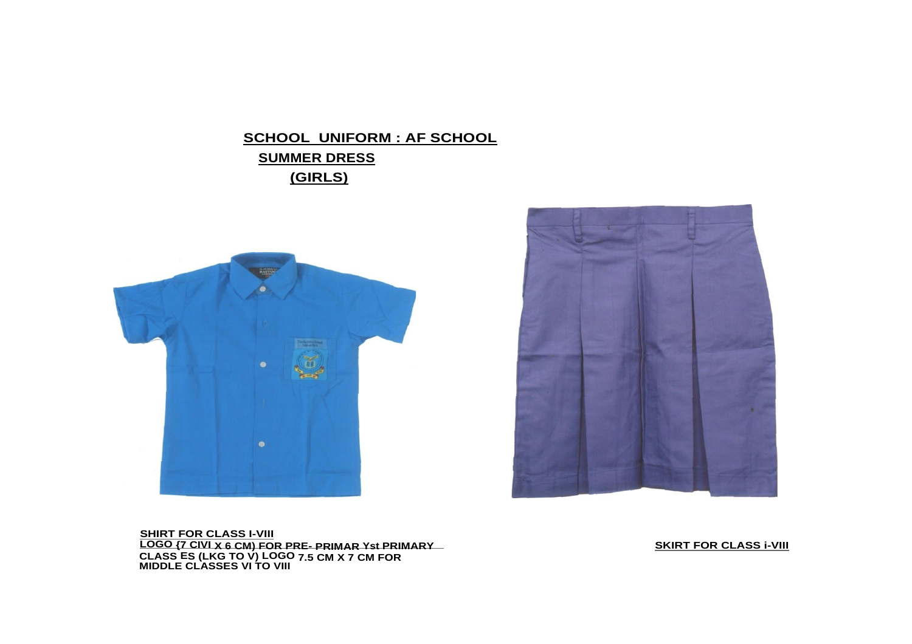# **SCHOOL UNIFORM : AF SCHOOL SUMMER DRESS (GIRLS)**





**SHIRT FOR CLASS I-VIII LOGO {7 CIVI X 6 CM) FOR PRE- PRIMAR Yst PRIMARY CLASS ES (LKG TO V) LOGO 7.5 CM X 7 CM FOR MIDDLE CLASSES VI TO VIII**

**SKIRT FOR CLASS i-VIII**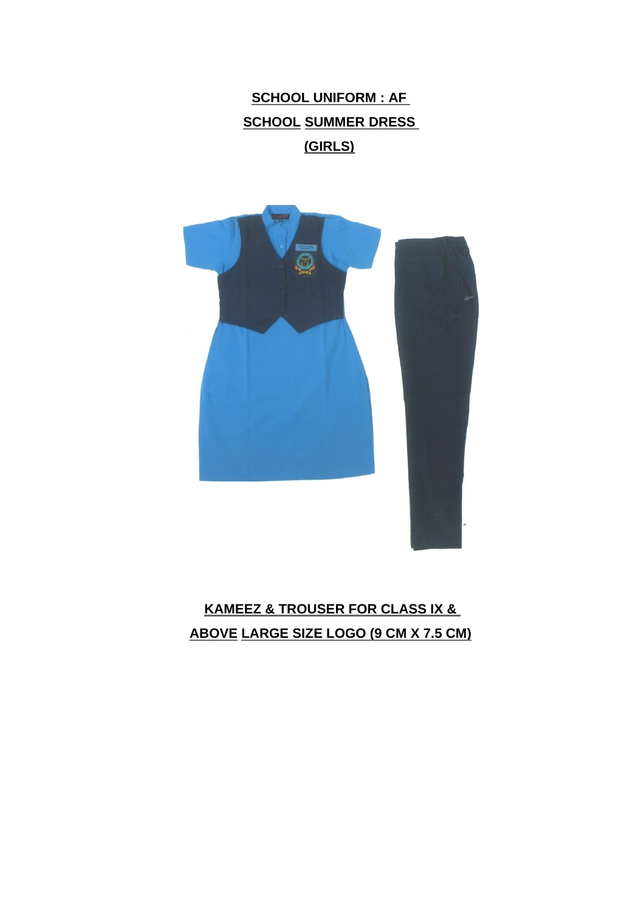**SCHOOL UNIFORM : AF SCHOOL SUMMER DRESS (GIRLS)**



**KAMEEZ & TROUSER FOR CLASS IX & ABOVE LARGE SIZE LOGO (9 CM X 7.5 CM)**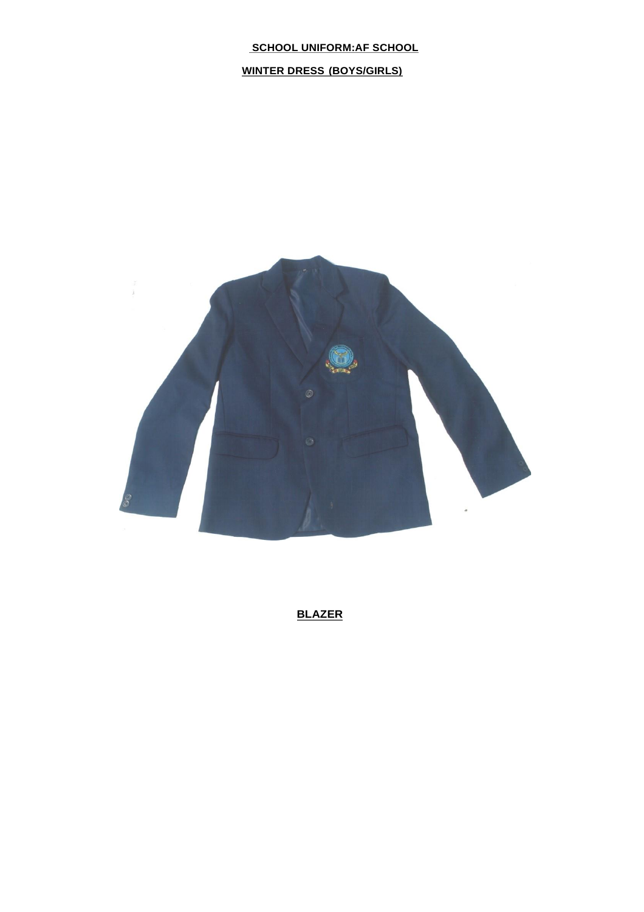**WINTER DRESS (BOYS/GIRLS)**



**BLAZER**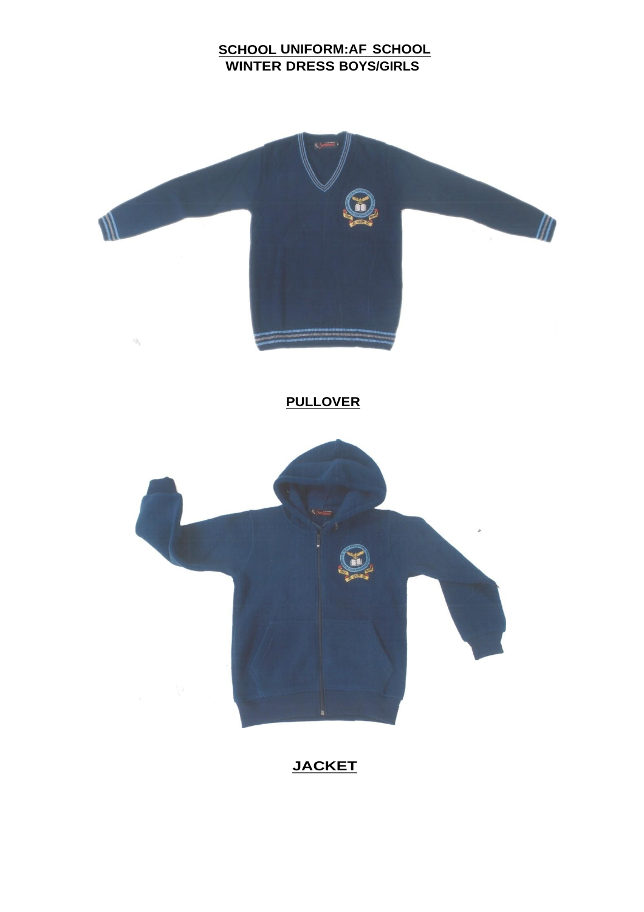# **SCHOOL UNIFORM:AF SCHOOL WINTER DRESS BOYS/GIRLS**



# **JACKET**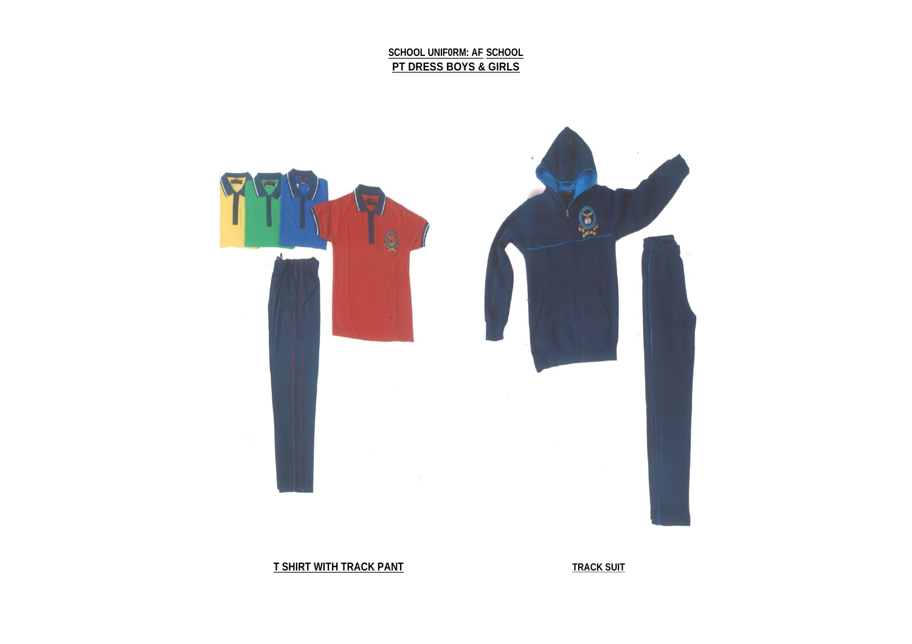**SCHOOL UNIF0RM: AF SCHOOL PT DRESS BOYS & GIRLS**



**T SHIRT WITH TRACK PANT TRACK SUIT**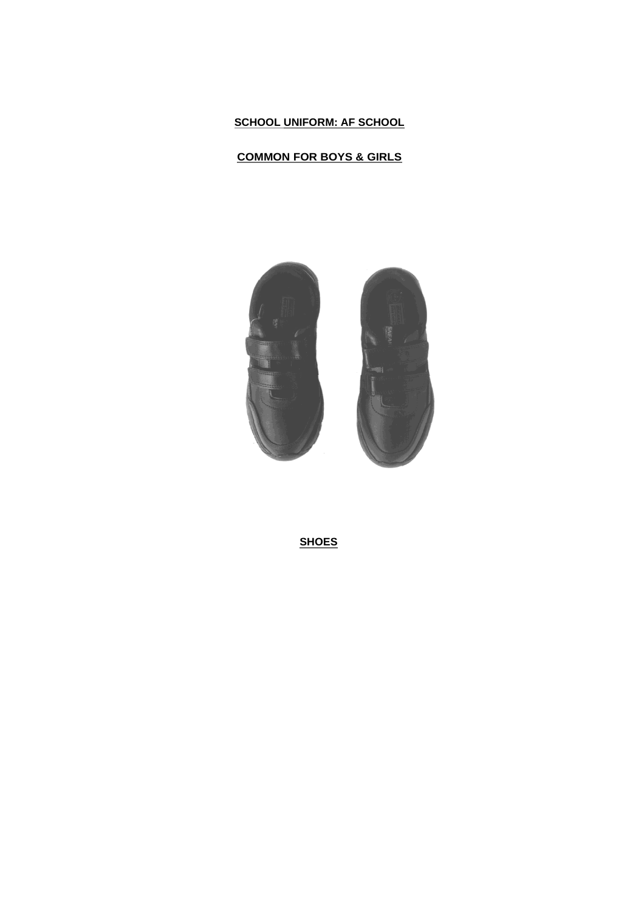#### **COMMON FOR BOYS & GIRLS**



**SHOES**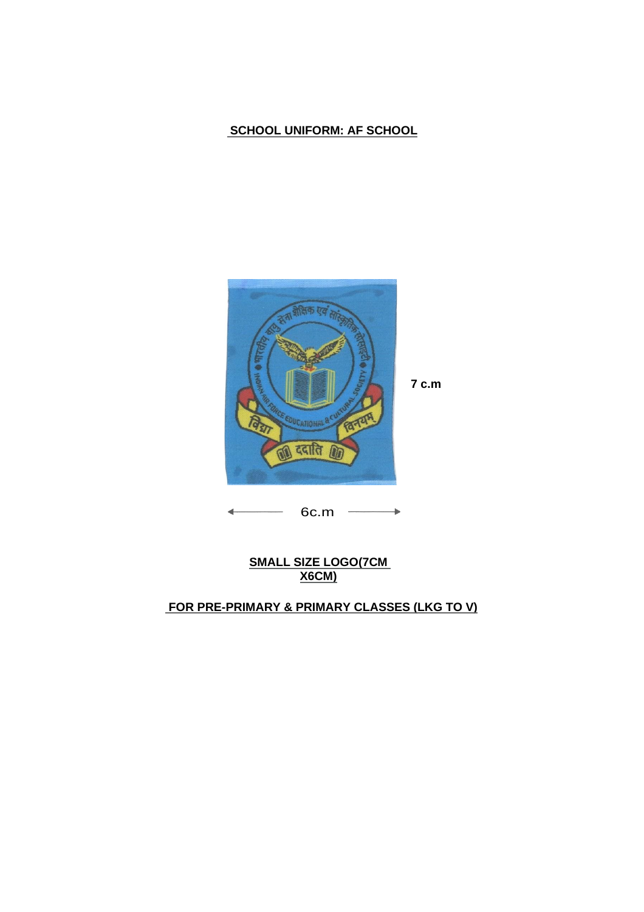

6c.m  $\rightarrow$ 

### **SMALL SIZE LOGO(7CM X6CM)**

# **FOR PRE-PRIMARY & PRIMARY CLASSES (LKG TO V)**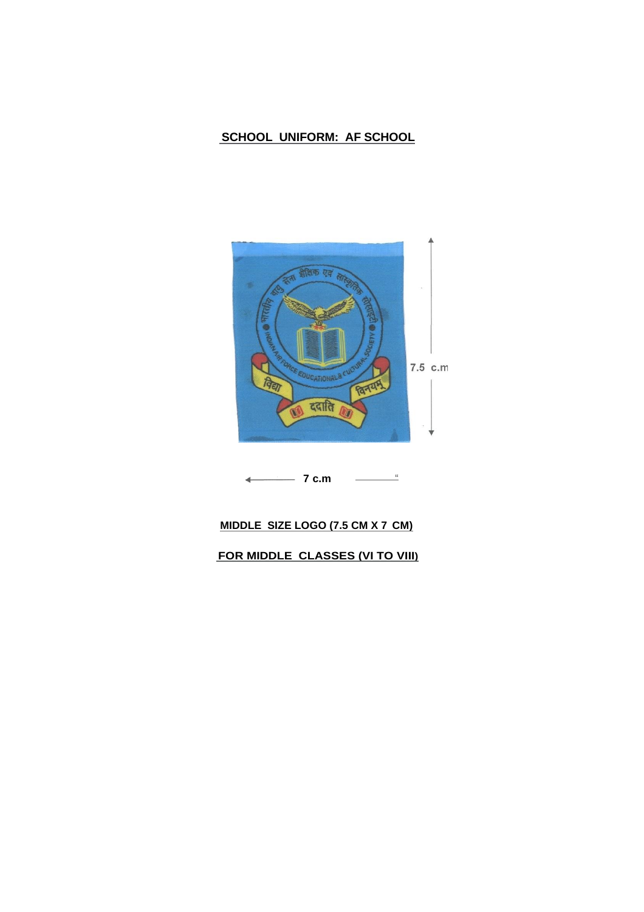

$$
\longleftarrow \hspace{1.5cm} 7 \text{ c.m} \hspace{1.5cm} \underline{\hspace{1.5cm}} \hspace{1.5cm}
$$

## **MIDDLE SIZE LOGO (7.5 CM X 7 CM)**

**FOR MIDDLE CLASSES (VI TO VIII)**